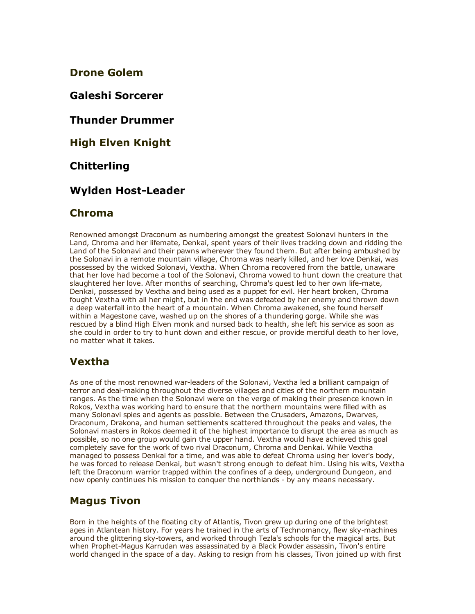Drone Golem

Galeshi Sorcerer

Thunder Drummer

High Elven Knight

#### Chitterling

### **Wylden Host-Leader**

#### Chroma

Renowned amongst Draconum as numbering amongst the greatest Solonavi hunters in the Land, Chroma and her lifemate, Denkai, spent years of their lives tracking down and ridding the Land of the Solonavi and their pawns wherever they found them. But after being ambushed by the Solonavi in a remote mountain village, Chroma was nearly killed, and her love Denkai, was possessed by the wicked Solonavi, Vextha. When Chroma recovered from the battle, unaware that her love had become a tool of the Solonavi, Chroma vowed to hunt down the creature that slaughtered her love. After months of searching, Chroma's quest led to her own life-mate, Denkai, possessed by Vextha and being used as a puppet for evil. Her heart broken, Chroma fought Vextha with all her might, but in the end was defeated by her enemy and thrown down a deep waterfall into the heart of a mountain. When Chroma awakened, she found herself within a Magestone cave, washed up on the shores of a thundering gorge. While she was rescued by a blind High Elven monk and nursed back to health, she left his service as soon as she could in order to try to hunt down and either rescue, or provide merciful death to her love, no matter what it takes.

### Vextha

As one of the most renowned war-leaders of the Solonavi, Vextha led a brilliant campaign of terror and deal-making throughout the diverse villages and cities of the northern mountain ranges. As the time when the Solonavi were on the verge of making their presence known in Rokos, Vextha was working hard to ensure that the northern mountains were filled with as many Solonavi spies and agents as possible. Between the Crusaders, Amazons, Dwarves, Draconum, Drakona, and human settlements scattered throughout the peaks and vales, the Solonavi masters in Rokos deemed it of the highest importance to disrupt the area as much as possible, so no one group would gain the upper hand. Vextha would have achieved this goal completely save for the work of two rival Draconum, Chroma and Denkai. While Vextha managed to possess Denkai for a time, and was able to defeat Chroma using her lover's body, he was forced to release Denkai, but wasn't strong enough to defeat him. Using his wits, Vextha left the Draconum warrior trapped within the confines of a deep, underground Dungeon, and now openly continues his mission to conquer the northlands - by any means necessary.

### Magus Tivon

Born in the heights of the floating city of Atlantis, Tivon grew up during one of the brightest ages in Atlantean history. For years he trained in the arts of Technomancy, flew sky-machines around the glittering sky-towers, and worked through Tezla's schools for the magical arts. But when Prophet-Magus Karrudan was assassinated by a Black Powder assassin, Tivon's entire world changed in the space of a day. Asking to resign from his classes, Tivon joined up with first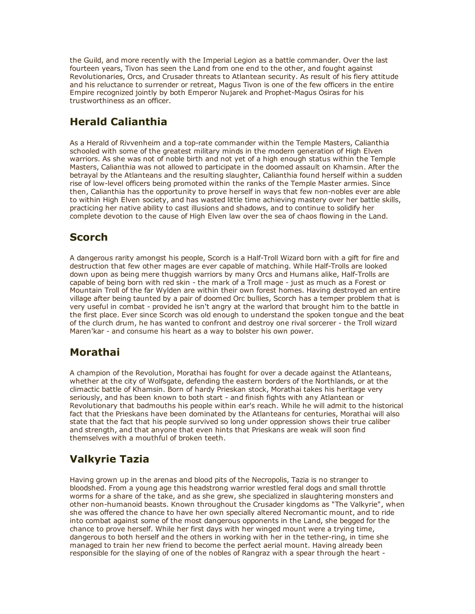the Guild, and more recently with the Imperial Legion as a battle commander. Over the last fourteen years, Tivon has seen the Land from one end to the other, and fought against Revolutionaries, Orcs, and Crusader threats to Atlantean security. As result of his fiery attitude and his reluctance to surrender or retreat, Magus Tivon is one of the few officers in the entire Empire recognized jointly by both Emperor Nujarek and Prophet-Magus Osiras for his trustworthiness as an officer.

## Herald Calianthia

As a Herald of Rivvenheim and a top-rate commander within the Temple Masters, Calianthia schooled with some of the greatest military minds in the modern generation of High Elven warriors. As she was not of noble birth and not yet of a high enough status within the Temple Masters, Calianthia was not allowed to participate in the doomed assault on Khamsin. After the betrayal by the Atlanteans and the resulting slaughter, Calianthia found herself within a sudden rise of low-level officers being promoted within the ranks of the Temple Master armies. Since then, Calianthia has the opportunity to prove herself in ways that few non-nobles ever are able to within High Elven society, and has wasted little time achieving mastery over her battle skills, practicing her native ability to cast illusions and shadows, and to continue to solidify her complete devotion to the cause of High Elven law over the sea of chaos flowing in the Land.

### **Scorch**

A dangerous rarity amongst his people, Scorch is a Half-Troll Wizard born with a gift for fire and destruction that few other mages are ever capable of matching. While Half-Trolls are looked down upon as being mere thuggish warriors by many Orcs and Humans alike, Half-Trolls are capable of being born with red skin - the mark of a Troll mage - just as much as a Forest or Mountain Troll of the far Wylden are within their own forest homes. Having destroyed an entire village after being taunted by a pair of doomed Orc bullies, Scorch has a temper problem that is very useful in combat - provided he isn't angry at the warlord that brought him to the battle in the first place. Ever since Scorch was old enough to understand the spoken tongue and the beat of the clurch drum, he has wanted to confront and destroy one rival sorcerer the Troll wizard Maren'kar - and consume his heart as a way to bolster his own power.

### Morathai

A champion of the Revolution, Morathai has fought for over a decade against the Atlanteans, whether at the city of Wolfsgate, defending the eastern borders of the Northlands, or at the climactic battle of Khamsin. Born of hardy Prieskan stock, Morathai takes his heritage very seriously, and has been known to both start - and finish fights with any Atlantean or Revolutionary that badmouths his people within ear's reach. While he will admit to the historical fact that the Prieskans have been dominated by the Atlanteans for centuries, Morathai will also state that the fact that his people survived so long under oppression shows their true caliber and strength, and that anyone that even hints that Prieskans are weak will soon find themselves with a mouthful of broken teeth.

# Valkyrie Tazia

Having grown up in the arenas and blood pits of the Necropolis, Tazia is no stranger to bloodshed. From a young age this headstrong warrior wrestled feral dogs and small throttle worms for a share of the take, and as she grew, she specialized in slaughtering monsters and other non-humanoid beasts. Known throughout the Crusader kingdoms as "The Valkyrie", when she was offered the chance to have her own specially altered Necromantic mount, and to ride into combat against some of the most dangerous opponents in the Land, she begged for the chance to prove herself. While her first days with her winged mount were a trying time, dangerous to both herself and the others in working with her in the tether-ring, in time she managed to train her new friend to become the perfect aerial mount. Having already been responsible for the slaying of one of the nobles of Rangraz with a spear through the heart -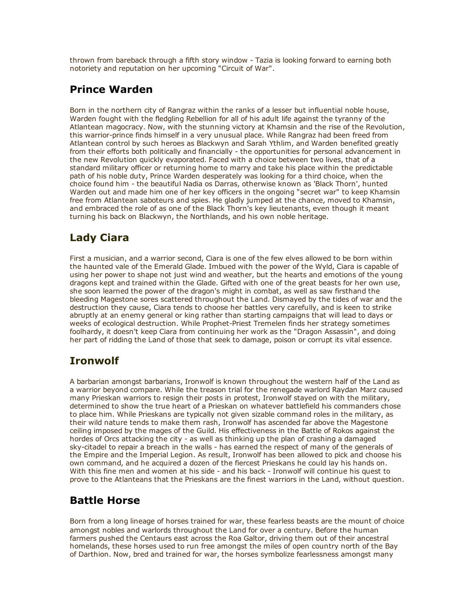thrown from bareback through a fifth story window Tazia is looking forward to earning both notoriety and reputation on her upcoming "Circuit of War".

## Prince Warden

Born in the northern city of Rangraz within the ranks of a lesser but influential noble house, Warden fought with the fledgling Rebellion for all of his adult life against the tyranny of the Atlantean magocracy. Now, with the stunning victory at Khamsin and the rise of the Revolution, this warrior-prince finds himself in a very unusual place. While Rangraz had been freed from Atlantean control by such heroes as Blackwyn and Sarah Ythlim, and Warden benefited greatly from their efforts both politically and financially - the opportunities for personal advancement in the new Revolution quickly evaporated. Faced with a choice between two lives, that of a standard military officer or returning home to marry and take his place within the predictable path of his noble duty, Prince Warden desperately was looking for a third choice, when the choice found him the beautiful Nadia os Darras, otherwise known as 'Black Thorn', hunted Warden out and made him one of her key officers in the ongoing "secret war" to keep Khamsin free from Atlantean saboteurs and spies. He gladly jumped at the chance, moved to Khamsin, and embraced the role of as one of the Black Thorn's key lieutenants, even though it meant turning his back on Blackwyn, the Northlands, and his own noble heritage.

# Lady Ciara

First a musician, and a warrior second, Ciara is one of the few elves allowed to be born within the haunted vale of the Emerald Glade. Imbued with the power of the Wyld, Ciara is capable of using her power to shape not just wind and weather, but the hearts and emotions of the young dragons kept and trained within the Glade. Gifted with one of the great beasts for her own use, she soon learned the power of the dragon's might in combat, as well as saw firsthand the bleeding Magestone sores scattered throughout the Land. Dismayed by the tides of war and the destruction they cause, Ciara tends to choose her battles very carefully, and is keen to strike abruptly at an enemy general or king rather than starting campaigns that will lead to days or weeks of ecological destruction. While Prophet-Priest Tremelen finds her strategy sometimes foolhardy, it doesn't keep Ciara from continuing her work as the "Dragon Assassin", and doing her part of ridding the Land of those that seek to damage, poison or corrupt its vital essence.

# Ironwolf

A barbarian amongst barbarians, Ironwolf is known throughout the western half of the Land as a warrior beyond compare. While the treason trial for the renegade warlord Raydan Marz caused many Prieskan warriors to resign their posts in protest, Ironwolf stayed on with the military, determined to show the true heart of a Prieskan on whatever battlefield his commanders chose to place him. While Prieskans are typically not given sizable command roles in the military, as their wild nature tends to make them rash, Ironwolf has ascended far above the Magestone ceiling imposed by the mages of the Guild. His effectiveness in the Battle of Rokos against the hordes of Orcs attacking the city - as well as thinking up the plan of crashing a damaged sky-citadel to repair a breach in the walls - has earned the respect of many of the generals of the Empire and the Imperial Legion. As result, Ironwolf has been allowed to pick and choose his own command, and he acquired a dozen of the fiercest Prieskans he could lay his hands on. With this fine men and women at his side - and his back - Ironwolf will continue his quest to prove to the Atlanteans that the Prieskans are the finest warriors in the Land, without question.

### Battle Horse

Born from a long lineage of horses trained for war, these fearless beasts are the mount of choice amongst nobles and warlords throughout the Land for over a century. Before the human farmers pushed the Centaurs east across the Roa Galtor, driving them out of their ancestral homelands, these horses used to run free amongst the miles of open country north of the Bay of Darthion. Now, bred and trained for war, the horses symbolize fearlessness amongst many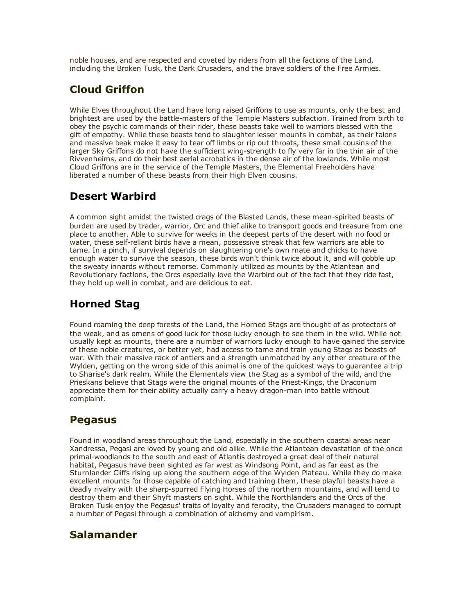noble houses, and are respected and coveted by riders from all the factions of the Land, including the Broken Tusk, the Dark Crusaders, and the brave soldiers of the Free Armies.

# Cloud Griffon

While Elves throughout the Land have long raised Griffons to use as mounts, only the best and brightest are used by the battle-masters of the Temple Masters subfaction. Trained from birth to obey the psychic commands of their rider, these beasts take well to warriors blessed with the gift of empathy. While these beasts tend to slaughter lesser mounts in combat, as their talons and massive beak make it easy to tear off limbs or rip out throats, these small cousins of the larger Sky Griffons do not have the sufficient wing-strength to fly very far in the thin air of the Rivvenheims, and do their best aerial acrobatics in the dense air of the lowlands. While most Cloud Griffons are in the service of the Temple Masters, the Elemental Freeholders have liberated a number of these beasts from their High Elven cousins.

### Desert Warbird

A common sight amidst the twisted crags of the Blasted Lands, these mean-spirited beasts of burden are used by trader, warrior, Orc and thief alike to transport goods and treasure from one place to another. Able to survive for weeks in the deepest parts of the desert with no food or water, these self-reliant birds have a mean, possessive streak that few warriors are able to tame. In a pinch, if survival depends on slaughtering one's own mate and chicks to have enough water to survive the season, these birds won't think twice about it, and will gobble up the sweaty innards without remorse. Commonly utilized as mounts by the Atlantean and Revolutionary factions, the Orcs especially love the Warbird out of the fact that they ride fast, they hold up well in combat, and are delicious to eat.

# Horned Stag

Found roaming the deep forests of the Land, the Horned Stags are thought of as protectors of the weak, and as omens of good luck for those lucky enough to see them in the wild. While not usually kept as mounts, there are a number of warriors lucky enough to have gained the service of these noble creatures, or better yet, had access to tame and train young Stags as beasts of war. With their massive rack of antlers and a strength unmatched by any other creature of the Wylden, getting on the wrong side of this animal is one of the quickest ways to guarantee a trip to Sharise's dark realm. While the Elementals view the Stag as a symbol of the wild, and the Prieskans believe that Stags were the original mounts of the Priest-Kings, the Draconum appreciate them for their ability actually carry a heavy dragon-man into battle without complaint.

# Pegasus

Found in woodland areas throughout the Land, especially in the southern coastal areas near Xandressa, Pegasi are loved by young and old alike. While the Atlantean devastation of the once primal-woodlands to the south and east of Atlantis destroyed a great deal of their natural habitat, Pegasus have been sighted as far west as Windsong Point, and as far east as the Sturnlander Cliffs rising up along the southern edge of the Wylden Plateau. While they do make excellent mounts for those capable of catching and training them, these playful beasts have a deadly rivalry with the sharp-spurred Flying Horses of the northern mountains, and will tend to destroy them and their Shyft masters on sight. While the Northlanders and the Orcs of the Broken Tusk enjoy the Pegasus' traits of loyalty and ferocity, the Crusaders managed to corrupt a number of Pegasi through a combination of alchemy and vampirism.

### Salamander